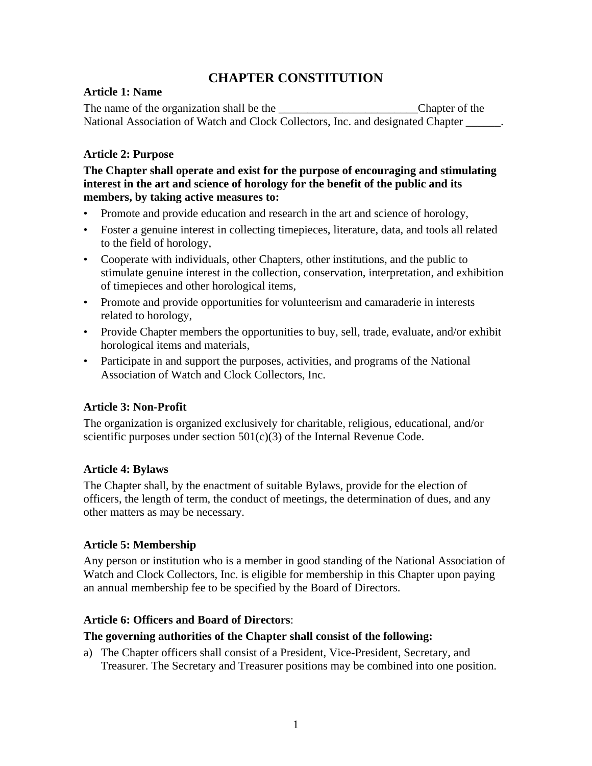# **CHAPTER CONSTITUTION**

### **Article 1: Name**

The name of the organization shall be the \_\_\_\_\_\_\_\_\_\_\_\_\_\_\_\_\_\_\_\_\_\_\_\_\_\_\_\_\_Chapter of the National Association of Watch and Clock Collectors, Inc. and designated Chapter \_\_\_\_\_\_.

## **Article 2: Purpose**

**The Chapter shall operate and exist for the purpose of encouraging and stimulating interest in the art and science of horology for the benefit of the public and its members, by taking active measures to:** 

- Promote and provide education and research in the art and science of horology,
- Foster a genuine interest in collecting timepieces, literature, data, and tools all related to the field of horology,
- Cooperate with individuals, other Chapters, other institutions, and the public to stimulate genuine interest in the collection, conservation, interpretation, and exhibition of timepieces and other horological items,
- Promote and provide opportunities for volunteerism and camaraderie in interests related to horology,
- Provide Chapter members the opportunities to buy, sell, trade, evaluate, and/or exhibit horological items and materials,
- Participate in and support the purposes, activities, and programs of the National Association of Watch and Clock Collectors, Inc.

## **Article 3: Non-Profit**

The organization is organized exclusively for charitable, religious, educational, and/or scientific purposes under section  $501(c)(3)$  of the Internal Revenue Code.

## **Article 4: Bylaws**

The Chapter shall, by the enactment of suitable Bylaws, provide for the election of officers, the length of term, the conduct of meetings, the determination of dues, and any other matters as may be necessary.

## **Article 5: Membership**

Any person or institution who is a member in good standing of the National Association of Watch and Clock Collectors, Inc. is eligible for membership in this Chapter upon paying an annual membership fee to be specified by the Board of Directors.

## **Article 6: Officers and Board of Directors**:

## **The governing authorities of the Chapter shall consist of the following:**

a) The Chapter officers shall consist of a President, Vice-President, Secretary, and Treasurer. The Secretary and Treasurer positions may be combined into one position.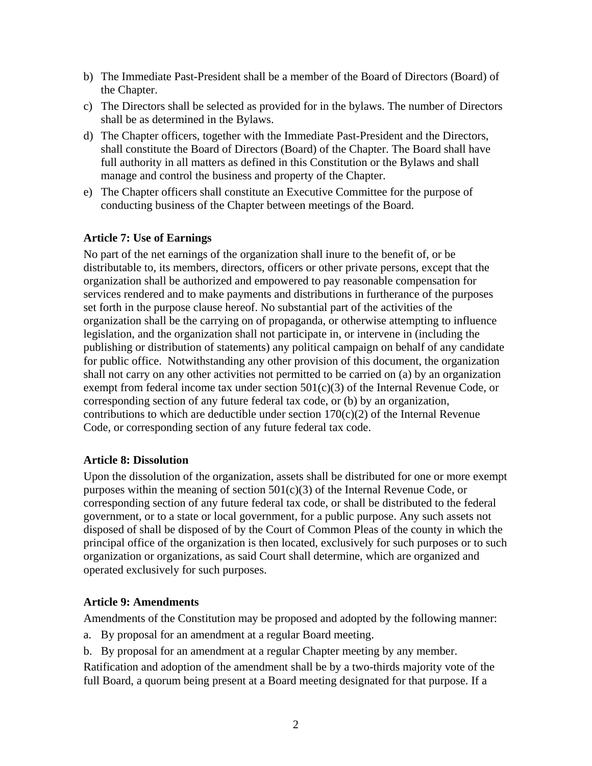- b) The Immediate Past-President shall be a member of the Board of Directors (Board) of the Chapter.
- c) The Directors shall be selected as provided for in the bylaws. The number of Directors shall be as determined in the Bylaws.
- d) The Chapter officers, together with the Immediate Past-President and the Directors, shall constitute the Board of Directors (Board) of the Chapter. The Board shall have full authority in all matters as defined in this Constitution or the Bylaws and shall manage and control the business and property of the Chapter.
- e) The Chapter officers shall constitute an Executive Committee for the purpose of conducting business of the Chapter between meetings of the Board.

### **Article 7: Use of Earnings**

No part of the net earnings of the organization shall inure to the benefit of, or be distributable to, its members, directors, officers or other private persons, except that the organization shall be authorized and empowered to pay reasonable compensation for services rendered and to make payments and distributions in furtherance of the purposes set forth in the purpose clause hereof. No substantial part of the activities of the organization shall be the carrying on of propaganda, or otherwise attempting to influence legislation, and the organization shall not participate in, or intervene in (including the publishing or distribution of statements) any political campaign on behalf of any candidate for public office. Notwithstanding any other provision of this document, the organization shall not carry on any other activities not permitted to be carried on (a) by an organization exempt from federal income tax under section 501(c)(3) of the Internal Revenue Code, or corresponding section of any future federal tax code, or (b) by an organization, contributions to which are deductible under section  $170(c)(2)$  of the Internal Revenue Code, or corresponding section of any future federal tax code.

#### **Article 8: Dissolution**

Upon the dissolution of the organization, assets shall be distributed for one or more exempt purposes within the meaning of section 501(c)(3) of the Internal Revenue Code, or corresponding section of any future federal tax code, or shall be distributed to the federal government, or to a state or local government, for a public purpose. Any such assets not disposed of shall be disposed of by the Court of Common Pleas of the county in which the principal office of the organization is then located, exclusively for such purposes or to such organization or organizations, as said Court shall determine, which are organized and operated exclusively for such purposes.

#### **Article 9: Amendments**

Amendments of the Constitution may be proposed and adopted by the following manner:

- a. By proposal for an amendment at a regular Board meeting.
- b. By proposal for an amendment at a regular Chapter meeting by any member.

Ratification and adoption of the amendment shall be by a two-thirds majority vote of the full Board, a quorum being present at a Board meeting designated for that purpose. If a